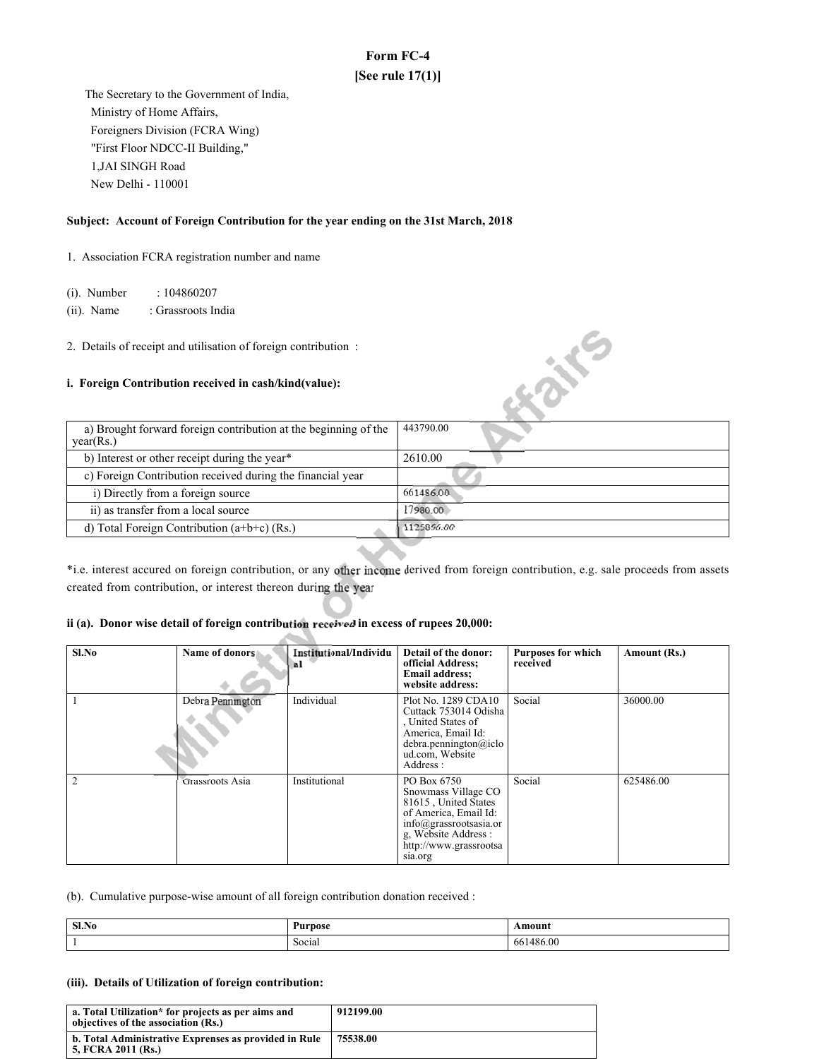# **Form FC-4 [See rule 17(1)]**

 The Secretary to the Government of India, Ministry of Home Affairs, Foreigners Division (FCRA Wing) "First Floor NDCC-II Building," 1,JAI SINGH Road New Delhi - 110001

## **Subject: Account of Foreign Contribution for the year ending on the 31st March, 2018**

1. Association FCRA registration number and name

(i). Number : 104860207

(ii). Name : Grassroots India

### **i. Foreign Contribution received in cash/kind(value):**

| 2. Details of receipt and utilisation of foreign contribution:<br><i>i.</i> Foreign Contribution received in cash/kind(value): |            |
|--------------------------------------------------------------------------------------------------------------------------------|------------|
| a) Brought forward foreign contribution at the beginning of the<br>year(Rs.)                                                   | 443790.00  |
| b) Interest or other receipt during the year*                                                                                  | 2610.00    |
| c) Foreign Contribution received during the financial year                                                                     |            |
| i) Directly from a foreign source                                                                                              | 661486.00  |
| ii) as transfer from a local source                                                                                            | 17980.00   |
| d) Total Foreign Contribution $(a+b+c)$ (Rs.)                                                                                  | 1125866.00 |

\*i.e. interest accured on foreign contribution, or any derived from foreign contribution, e.g. sale proceeds from assets created from contribution, or interest thereon during the year

## ii (a). Donor wise detail of foreign contribution received in excess of rupees 20,000:

| $Sl$ . No | Name of donors   | Institutional/Individu<br>al | Detail of the donor:<br>official Address;<br><b>Email address:</b><br>website address:                                                                                                | <b>Purposes for which</b><br>received | Amount (Rs.) |
|-----------|------------------|------------------------------|---------------------------------------------------------------------------------------------------------------------------------------------------------------------------------------|---------------------------------------|--------------|
|           | Debra Pennington | Individual                   | Plot No. 1289 CDA10<br>Cuttack 753014 Odisha<br>United States of<br>America, Email Id:<br>debra.pennington@iclo<br>ud.com, Website<br>Address:                                        | Social                                | 36000.00     |
|           | Grassroots Asia  | Institutional                | PO Box 6750<br>Snowmass Village CO<br>81615, United States<br>of America, Email Id:<br>$info(\hat{a})$ grassrootsasia.or<br>g, Website Address :<br>http://www.grassrootsa<br>sia.org | Social                                | 625486.00    |

(b). Cumulative purpose-wise amount of all foreign contribution donation received :

| Sl.No | Purnose          | \moun.             |
|-------|------------------|--------------------|
|       | $\sim$<br>Social | 486.00<br>66.<br>. |

#### **(iii). Details of Utilization of foreign contribution:**

| a. Total Utilization* for projects as per aims and<br>objectives of the association (Rs.) | 912199.00 |
|-------------------------------------------------------------------------------------------|-----------|
| b. Total Administrative Exprenses as provided in Rule<br>5. FCRA 2011 (Rs.)               | 75538.00  |